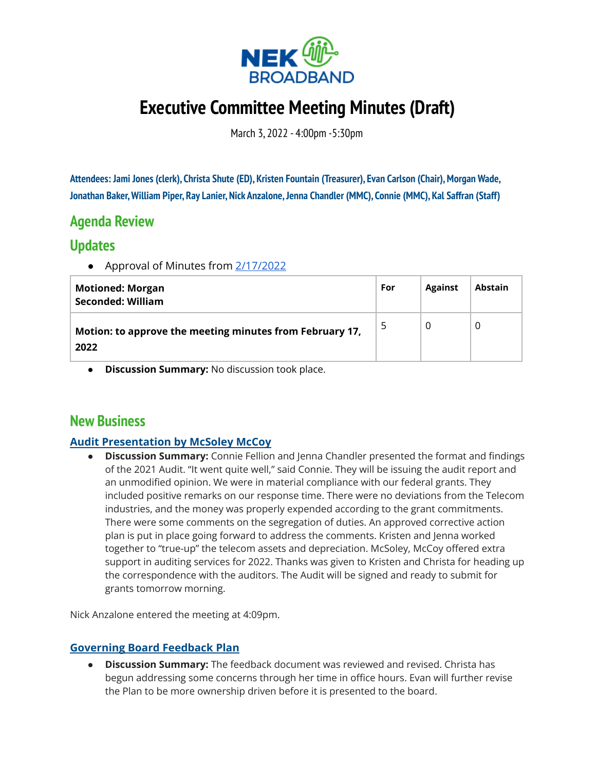

# **Executive Committee Meeting Minutes (Draft)**

March 3, 2022 - 4:00pm -5:30pm

**Attendees: Jami Jones (clerk), Christa Shute (ED), Kristen Fountain (Treasurer), Evan Carlson (Chair),Morgan Wade, Jonathan Baker,William Piper, Ray Lanier, Nick Anzalone,Jenna Chandler (MMC), Connie (MMC), Kal Saffran (Staff)**

# **Agenda Review**

### **Updates**

● Approval of Minutes from [2/17/2022](https://docs.google.com/document/d/1SN3RQ2u8-NW4RBUNSymDwWtdYdD7Rnzd111_xhPCXeE/edit?usp=sharing)

| <b>Motioned: Morgan</b><br><b>Seconded: William</b>              | For | <b>Against</b> | <b>Abstain</b> |
|------------------------------------------------------------------|-----|----------------|----------------|
| Motion: to approve the meeting minutes from February 17,<br>2022 | 5   | 0              |                |

**● Discussion Summary:** No discussion took place.

## **New Business**

#### **Audit Presentation by McSoley McCoy**

**● Discussion Summary:** Connie Fellion and Jenna Chandler presented the format and findings of the 2021 Audit. "It went quite well," said Connie. They will be issuing the audit report and an unmodified opinion. We were in material compliance with our federal grants. They included positive remarks on our response time. There were no deviations from the Telecom industries, and the money was properly expended according to the grant commitments. There were some comments on the segregation of duties. An approved corrective action plan is put in place going forward to address the comments. Kristen and Jenna worked together to "true-up" the telecom assets and depreciation. McSoley, McCoy offered extra support in auditing services for 2022. Thanks was given to Kristen and Christa for heading up the correspondence with the auditors. The Audit will be signed and ready to submit for grants tomorrow morning.

Nick Anzalone entered the meeting at 4:09pm.

#### **Governing Board Feedback Plan**

**● Discussion Summary:** The feedback document was reviewed and revised. Christa has begun addressing some concerns through her time in office hours. Evan will further revise the Plan to be more ownership driven before it is presented to the board.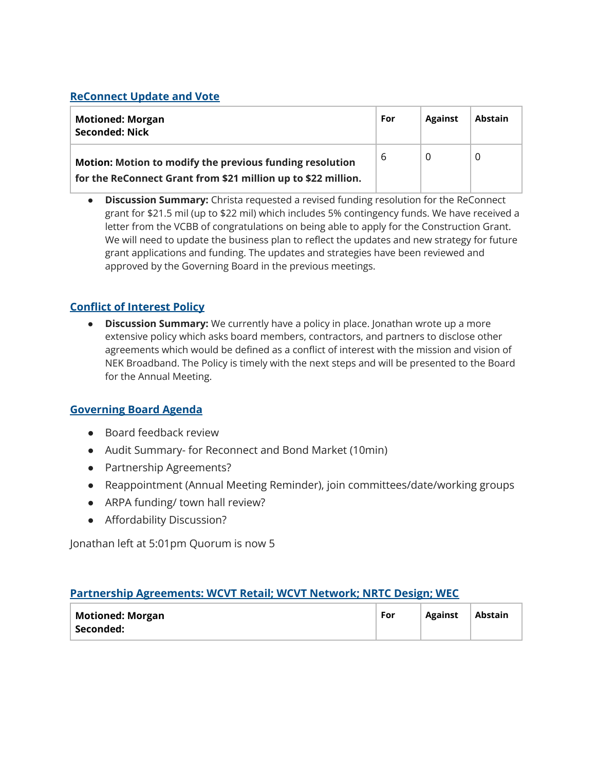#### **ReConnect Update and Vote**

| <b>Motioned: Morgan</b><br>Seconded: Nick                                                                                 | For | <b>Against</b> | <b>Abstain</b> |
|---------------------------------------------------------------------------------------------------------------------------|-----|----------------|----------------|
| Motion: Motion to modify the previous funding resolution<br>for the ReConnect Grant from \$21 million up to \$22 million. | 6   |                |                |

**● Discussion Summary:** Christa requested a revised funding resolution for the ReConnect grant for \$21.5 mil (up to \$22 mil) which includes 5% contingency funds. We have received a letter from the VCBB of congratulations on being able to apply for the Construction Grant. We will need to update the business plan to reflect the updates and new strategy for future grant applications and funding. The updates and strategies have been reviewed and approved by the Governing Board in the previous meetings.

#### **Conflict of Interest Policy**

**● Discussion Summary:** We currently have a policy in place. Jonathan wrote up a more extensive policy which asks board members, contractors, and partners to disclose other agreements which would be defined as a conflict of interest with the mission and vision of NEK Broadband. The Policy is timely with the next steps and will be presented to the Board for the Annual Meeting.

#### **Governing Board Agenda**

- Board feedback review
- Audit Summary- for Reconnect and Bond Market (10min)
- Partnership Agreements?
- Reappointment (Annual Meeting Reminder), join committees/date/working groups
- ARPA funding/ town hall review?
- Affordability Discussion?

Jonathan left at 5:01pm Quorum is now 5

#### **Partnership Agreements: WCVT Retail; WCVT Network; NRTC Design; WEC**

| <b>Motioned: Morgan</b> | For | <b>Against</b> | Abstain |
|-------------------------|-----|----------------|---------|
| Seconded:               |     |                |         |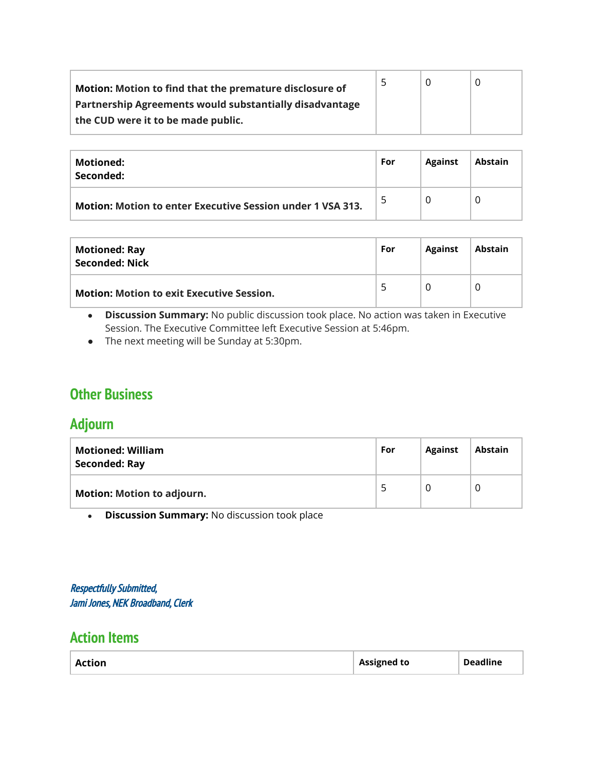| Motion: Motion to find that the premature disclosure of | 5 |  |
|---------------------------------------------------------|---|--|
| Partnership Agreements would substantially disadvantage |   |  |
| the CUD were it to be made public.                      |   |  |
|                                                         |   |  |

| Motioned:<br>Seconded:                                     | For | <b>Against</b> | <b>Abstain</b> |
|------------------------------------------------------------|-----|----------------|----------------|
| Motion: Motion to enter Executive Session under 1 VSA 313. | 5   |                |                |

| <b>Motioned: Ray</b><br>Seconded: Nick           | For | <b>Against</b> | <b>Abstain</b> |
|--------------------------------------------------|-----|----------------|----------------|
| <b>Motion: Motion to exit Executive Session.</b> | 5   |                | O              |

- **● Discussion Summary:** No public discussion took place. No action was taken in Executive Session. The Executive Committee left Executive Session at 5:46pm.
- The next meeting will be Sunday at 5:30pm.

# **Other Business**

### **Adjourn**

| <b>Motioned: William</b><br>Seconded: Ray | For | <b>Against</b> | <b>Abstain</b> |
|-------------------------------------------|-----|----------------|----------------|
| <b>Motion: Motion to adjourn.</b>         | ∽   |                |                |

**● Discussion Summary:** No discussion took place

Respectfully Submitted, Jami Jones, NEK Broadband, Clerk

### **Action Items**

| <b>Deadline</b><br><b>Assigned to</b><br><b>Action</b> |
|--------------------------------------------------------|
|--------------------------------------------------------|